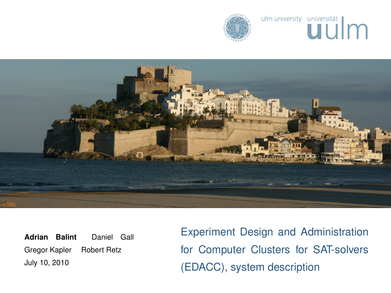





<span id="page-0-0"></span>**Adrian Balint** Daniel Gall Gregor Kapler Robert Retz July 10, 2010

Experiment Design and Administration for Computer Clusters for SAT-solvers (EDACC), system description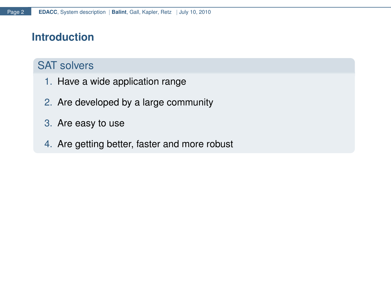## **Introduction**

# SAT solvers

- 1. Have a wide application range
- 2. Are developed by a large community
- 3. Are easy to use
- 4. Are getting better, faster and more robust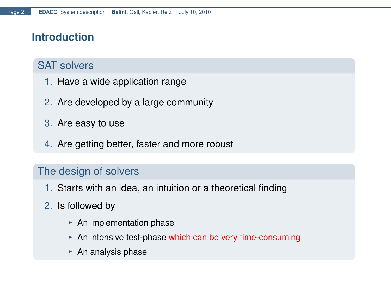# **Introduction**

# SAT solvers

- 1. Have a wide application range
- 2. Are developed by a large community
- 3. Are easy to use
- 4. Are getting better, faster and more robust

### The design of solvers

- 1. Starts with an idea, an intuition or a theoretical finding
- 2. Is followed by
	- $\triangleright$  An implementation phase
	- An intensive test-phase which can be very time-consuming
	- $\triangleright$  An analysis phase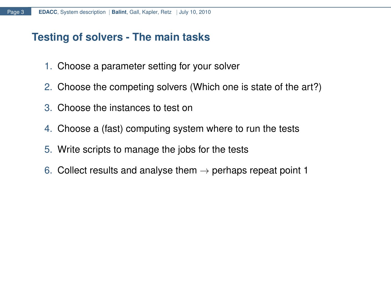## **Testing of solvers - The main tasks**

- 1. Choose a parameter setting for your solver
- 2. Choose the competing solvers (Which one is state of the art?)
- 3. Choose the instances to test on
- 4. Choose a (fast) computing system where to run the tests
- 5. Write scripts to manage the jobs for the tests
- 6. Collect results and analyse them  $\rightarrow$  perhaps repeat point 1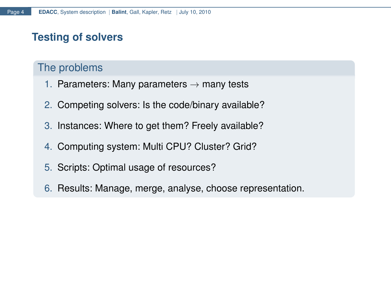# **Testing of solvers**

### The problems

- 1. Parameters: Many parameters  $\rightarrow$  many tests
- 2. Competing solvers: Is the code/binary available?
- 3. Instances: Where to get them? Freely available?
- 4. Computing system: Multi CPU? Cluster? Grid?
- 5. Scripts: Optimal usage of resources?
- 6. Results: Manage, merge, analyse, choose representation.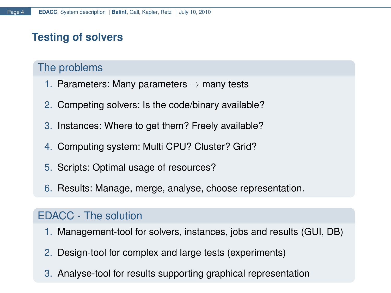# **Testing of solvers**

### The problems

- 1. Parameters: Many parameters  $\rightarrow$  many tests
- 2. Competing solvers: Is the code/binary available?
- 3. Instances: Where to get them? Freely available?
- 4. Computing system: Multi CPU? Cluster? Grid?
- 5. Scripts: Optimal usage of resources?
- 6. Results: Manage, merge, analyse, choose representation.

### EDACC - The solution

- 1. Management-tool for solvers, instances, jobs and results (GUI, DB)
- 2. Design-tool for complex and large tests (experiments)
- 3. Analyse-tool for results supporting graphical representation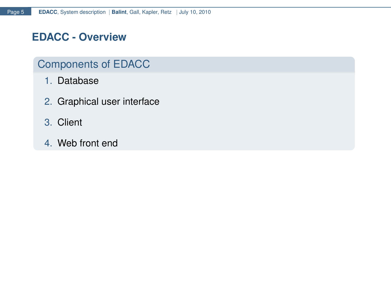### **EDACC - Overview**

# Components of EDACC

- 1. Database
- 2. Graphical user interface
- 3. Client
- 4. Web front end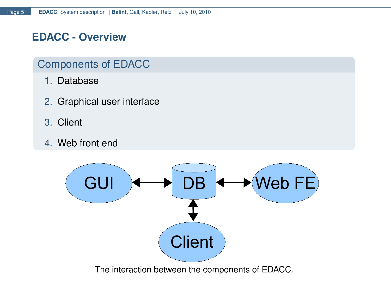## **EDACC - Overview**

### Components of EDACC

- 1. Database
- 2. Graphical user interface
- 3. Client
- 4. Web front end



The interaction between the components of EDACC.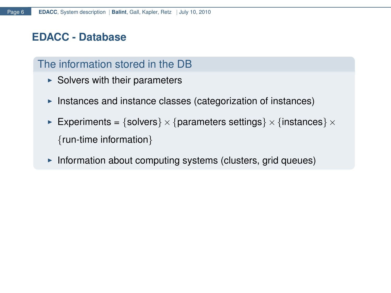### **EDACC - Database**

## The information stored in the DB

- $\triangleright$  Solvers with their parameters
- Instances and instance classes (categorization of instances)
- Experiments = {solvers}  $\times$  {parameters settings}  $\times$  {instances}  $\times$ {run-time information}
- Information about computing systems (clusters, grid queues)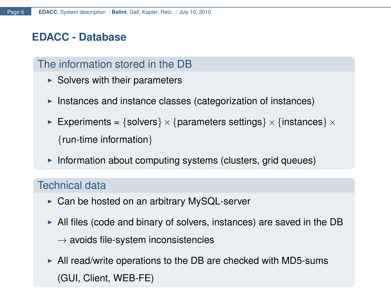## **EDACC - Database**

## The information stored in the DB

- $\triangleright$  Solvers with their parameters
- Instances and instance classes (categorization of instances)
- Experiments = {solvers}  $\times$  {parameters settings}  $\times$  {instances}  $\times$ {run-time information}
- Information about computing systems (clusters, grid queues)

### Technical data

- $\triangleright$  Can be hosted on an arbitrary MySQL-server
- $\blacktriangleright$  All files (code and binary of solvers, instances) are saved in the DB
	- $\rightarrow$  avoids file-system inconsistencies
- $\blacktriangleright$  All read/write operations to the DB are checked with MD5-sums (GUI, Client, WEB-FE)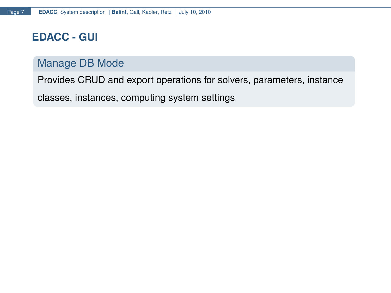### **EDACC - GUI**

### Manage DB Mode

Provides CRUD and export operations for solvers, parameters, instance

classes, instances, computing system settings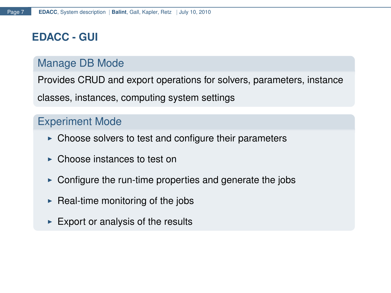### **EDACC - GUI**

### Manage DB Mode

Provides CRUD and export operations for solvers, parameters, instance

classes, instances, computing system settings

#### Experiment Mode

- $\triangleright$  Choose solvers to test and configure their parameters
- $\triangleright$  Choose instances to test on
- $\triangleright$  Configure the run-time properties and generate the jobs
- $\triangleright$  Real-time monitoring of the jobs
- $\blacktriangleright$  Export or analysis of the results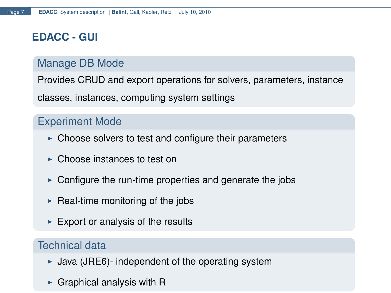# **EDACC - GUI**

## Manage DB Mode

Provides CRUD and export operations for solvers, parameters, instance

classes, instances, computing system settings

### Experiment Mode

- $\triangleright$  Choose solvers to test and configure their parameters
- $\triangleright$  Choose instances to test on
- $\triangleright$  Configure the run-time properties and generate the jobs
- $\triangleright$  Real-time monitoring of the jobs
- $\blacktriangleright$  Export or analysis of the results

# Technical data

- $\blacktriangleright$  Java (JRE6)- independent of the operating system
- $\triangleright$  Graphical analysis with R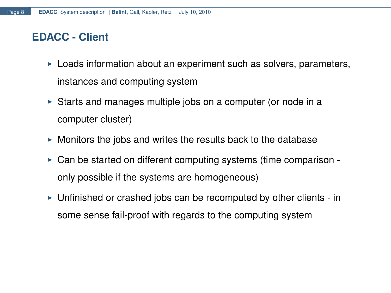# **EDACC - Client**

- $\triangleright$  Loads information about an experiment such as solvers, parameters, instances and computing system
- $\triangleright$  Starts and manages multiple jobs on a computer (or node in a computer cluster)
- $\triangleright$  Monitors the jobs and writes the results back to the database
- $\triangleright$  Can be started on different computing systems (time comparison only possible if the systems are homogeneous)
- $\triangleright$  Unfinished or crashed jobs can be recomputed by other clients in some sense fail-proof with regards to the computing system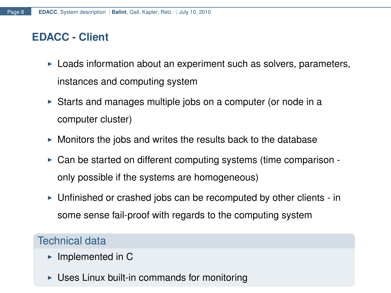### **EDACC - Client**

- $\triangleright$  Loads information about an experiment such as solvers, parameters, instances and computing system
- $\triangleright$  Starts and manages multiple jobs on a computer (or node in a computer cluster)
- $\triangleright$  Monitors the jobs and writes the results back to the database
- $\triangleright$  Can be started on different computing systems (time comparison only possible if the systems are homogeneous)
- $\triangleright$  Unfinished or crashed jobs can be recomputed by other clients in some sense fail-proof with regards to the computing system

#### Technical data

- $\blacktriangleright$  Implemented in C
- $\triangleright$  Uses Linux built-in commands for monitoring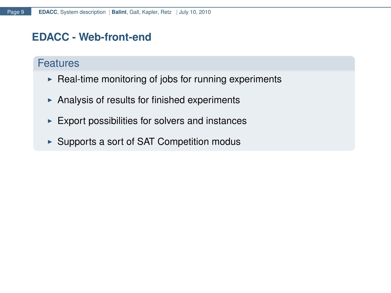### **EDACC - Web-front-end**

### **Features**

- $\triangleright$  Real-time monitoring of jobs for running experiments
- $\triangleright$  Analysis of results for finished experiments
- $\blacktriangleright$  Export possibilities for solvers and instances
- $\triangleright$  Supports a sort of SAT Competition modus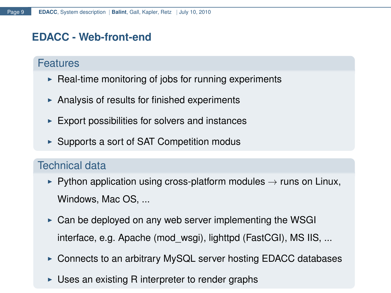## **EDACC - Web-front-end**

#### Features

- $\triangleright$  Real-time monitoring of jobs for running experiments
- $\triangleright$  Analysis of results for finished experiments
- $\blacktriangleright$  Export possibilities for solvers and instances
- $\triangleright$  Supports a sort of SAT Competition modus

## Technical data

- $▶$  Python application using cross-platform modules  $→$  runs on Linux, Windows, Mac OS, ...
- $\triangleright$  Can be deployed on any web server implementing the WSGI interface, e.g. Apache (mod\_wsgi), lighttpd (FastCGI), MS IIS, ...
- $\triangleright$  Connects to an arbitrary MySQL server hosting EDACC databases
- $\triangleright$  Uses an existing R interpreter to render graphs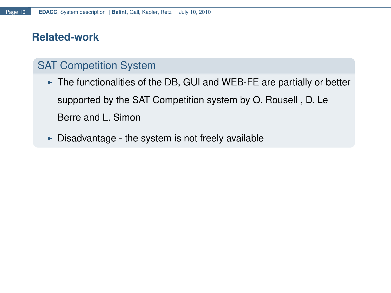### **Related-work**

# SAT Competition System

 $\triangleright$  The functionalities of the DB, GUI and WEB-FE are partially or better supported by the SAT Competition system by O. Rousell , D. Le Berre and L. Simon

 $\triangleright$  Disadvantage - the system is not freely available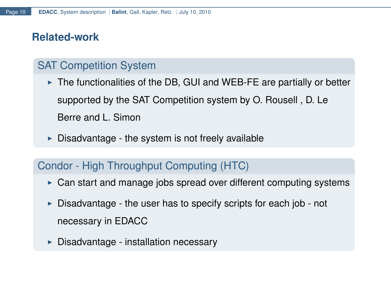## **Related-work**

# SAT Competition System

 $\triangleright$  The functionalities of the DB, GUI and WEB-FE are partially or better supported by the SAT Competition system by O. Rousell , D. Le Berre and L. Simon

 $\triangleright$  Disadvantage - the system is not freely available

### Condor - High Throughput Computing (HTC)

- $\triangleright$  Can start and manage jobs spread over different computing systems
- $\triangleright$  Disadvantage the user has to specify scripts for each job not necessary in EDACC
- $\triangleright$  Disadvantage installation necessary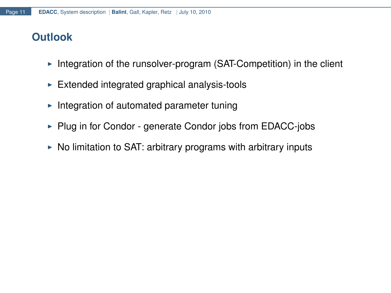# **Outlook**

- $\triangleright$  Integration of the runsolver-program (SAT-Competition) in the client
- $\triangleright$  Extended integrated graphical analysis-tools
- $\blacktriangleright$  Integration of automated parameter tuning
- $\triangleright$  Plug in for Condor generate Condor jobs from EDACC-jobs
- $\triangleright$  No limitation to SAT: arbitrary programs with arbitrary inputs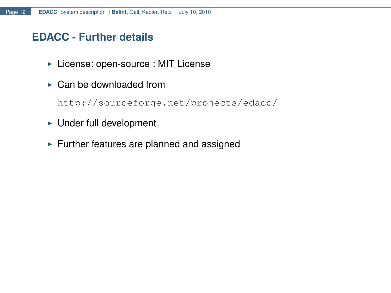### **EDACC - Further details**

- **License: open-source : MIT License**
- $\triangleright$  Can be downloaded from

<http://sourceforge.net/projects/edacc/>

- $\blacktriangleright$  Under full development
- $\blacktriangleright$  Further features are planned and assigned